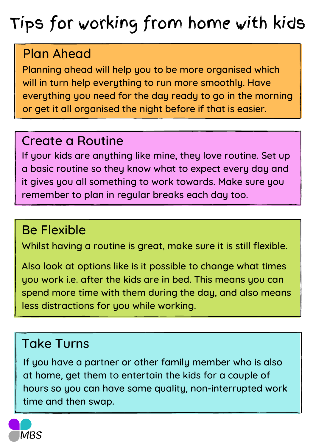# Tips for working from home with kids

## Plan Ahead

Planning ahead will help you to be more organised which will in turn help everything to run more smoothly. Have everything you need for the day ready to go in the morning or get it all organised the night before if that is easier.

#### Create a Routine

If your kids are anything like mine, they love routine. Set up a basic routine so they know what to expect every day and it gives you all something to work towards. Make sure you remember to plan in regular breaks each day too.

### Be Flexible

Whilst having a routine is great, make sure it is still flexible.

Also look at options like is it possible to change what times you work i.e. after the kids are in bed. This means you can spend more time with them during the day, and also means less distractions for you while working.

### Take Turns

If you have a partner or other family member who is also at home, get them to entertain the kids for a couple of hours so you can have some quality, non-interrupted work time and then swap.

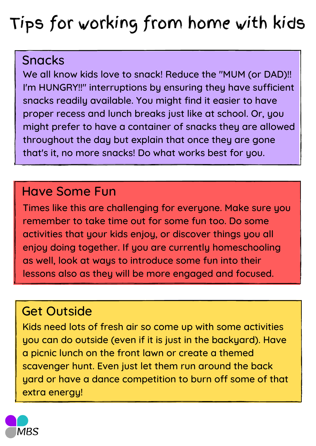# Tips for working from home with kids

#### Snacks

We all know kids love to snack! Reduce the "MUM (or DAD)!! I'm HUNGRY!!" interruptions by ensuring they have sufficient snacks readily available. You might find it easier to have proper recess and lunch breaks just like at school. Or, you might prefer to have a container of snacks they are allowed throughout the day but explain that once they are gone that's it, no more snacks! Do what works best for you.

#### Have Some Fun

Times like this are challenging for everyone. Make sure you remember to take time out for some fun too. Do some activities that your kids enjoy, or discover things you all enjoy doing together. If you are currently homeschooling as well, look at ways to introduce some fun into their lessons also as they will be more engaged and focused.

### Get Outside

Kids need lots of fresh air so come up with some activities you can do outside (even if it is just in the backyard). Have a picnic lunch on the front lawn or create a themed scavenger hunt. Even just let them run around the back yard or have a dance competition to burn off some of that extra energy!

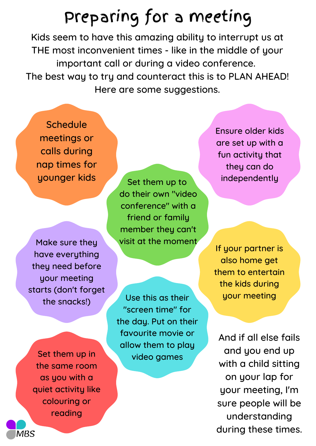# Preparing for a meeting

Kids seem to have this amazing ability to interrupt us at THE most inconvenient times - like in the middle of your important call or during a video conference. The best way to try and counteract this is to PLAN AHEAD! Here are some suggestions.

**Schedule** meetings or calls during nap times for younger kids

Make sure they have everything they need before your meeting starts (don't forget the snacks!)

Set them up in the same room as you with a quiet activity like colouring or reading

Set them up to do their own "video conference" with a friend or family member they can't visit at the moment

Use this as their "screen time" for the day. Put on their favourite movie or allow them to play video games

Ensure older kids are set up with a fun activity that they can do independently

If your partner is also home get them to entertain the kids during your meeting

And if all else fails and you end up with a child sitting on your lap for your meeting, I'm sure people will be understanding during these times.

**MBS**